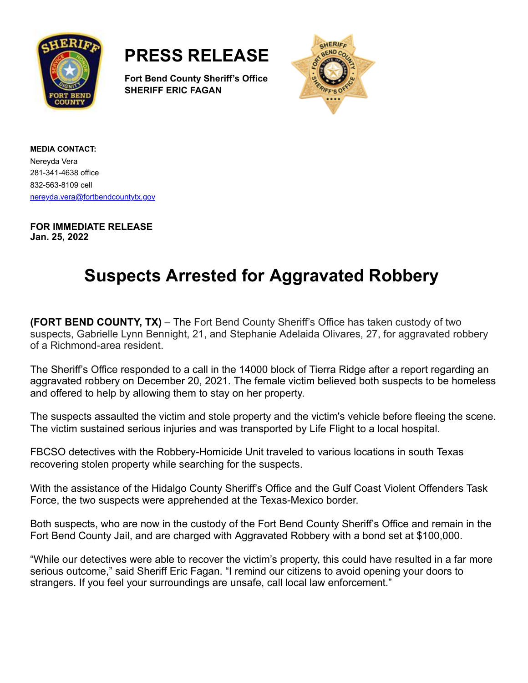

**PRESS RELEASE**

**Fort Bend County Sheriff's Office SHERIFF ERIC FAGAN**



**MEDIA CONTACT:** Nereyda Vera 281-341-4638 office 832-563-8109 cell [nereyda.vera@fortbendcountytx.gov](mailto:jacqueline.preston@fortbendcountytx.gov)

**FOR IMMEDIATE RELEASE Jan. 25, 2022**

## **Suspects Arrested for Aggravated Robbery**

**(FORT BEND COUNTY, TX)** – The Fort Bend County Sheriff's Office has taken custody of two suspects, Gabrielle Lynn Bennight, 21, and Stephanie Adelaida Olivares, 27, for aggravated robbery of a Richmond-area resident.

The Sheriff's Office responded to a call in the 14000 block of Tierra Ridge after a report regarding an aggravated robbery on December 20, 2021. The female victim believed both suspects to be homeless and offered to help by allowing them to stay on her property.

The suspects assaulted the victim and stole property and the victim's vehicle before fleeing the scene. The victim sustained serious injuries and was transported by Life Flight to a local hospital.

FBCSO detectives with the Robbery-Homicide Unit traveled to various locations in south Texas recovering stolen property while searching for the suspects.

With the assistance of the Hidalgo County Sheriff's Office and the Gulf Coast Violent Offenders Task Force, the two suspects were apprehended at the Texas-Mexico border.

Both suspects, who are now in the custody of the Fort Bend County Sheriff's Office and remain in the Fort Bend County Jail, and are charged with Aggravated Robbery with a bond set at \$100,000.

"While our detectives were able to recover the victim's property, this could have resulted in a far more serious outcome," said Sheriff Eric Fagan. "I remind our citizens to avoid opening your doors to strangers. If you feel your surroundings are unsafe, call local law enforcement."